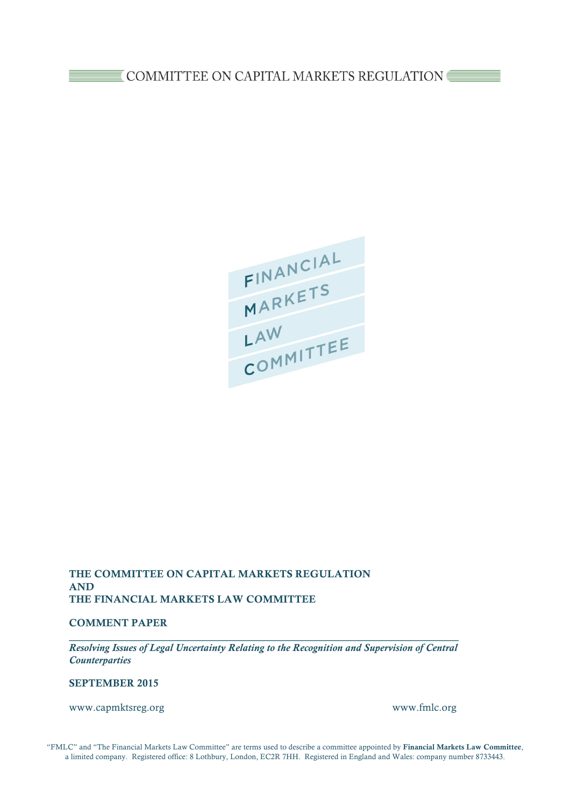FINANCIAL<br>MARKETS<br>LAW<br>COMMITTEE

## THE COMMITTEE ON CAPITAL MARKETS REGULATION AND THE FINANCIAL MARKETS LAW COMMITTEE

### COMMENT PAPER

*Resolving Issues of Legal Uncertainty Relating to the Recognition and Supervision of Central Counterparties*

### SEPTEMBER 2015

www.capmktsreg.org www.fmlc.org

"FMLC" and "The Financial Markets Law Committee" are terms used to describe a committee appointed by Financial Markets Law Committee, a limited company. Registered office: 8 Lothbury, London, EC2R 7HH. Registered in England and Wales: company number 8733443.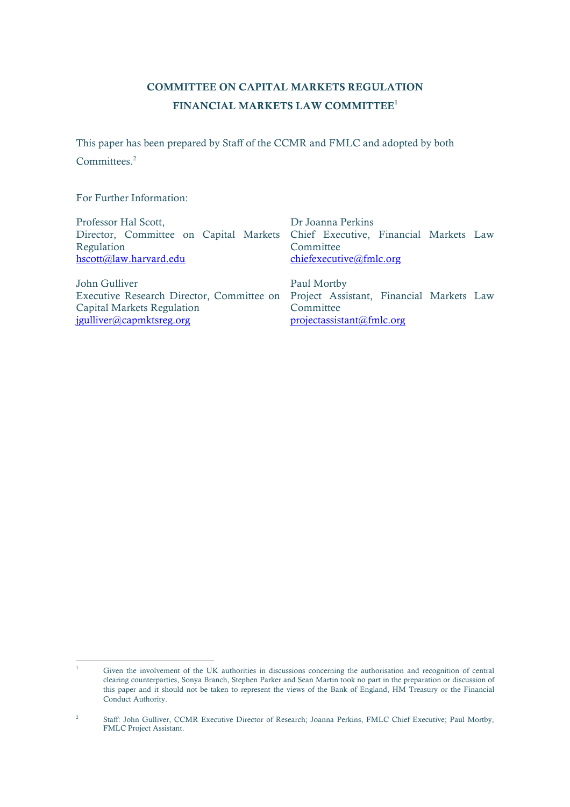# COMMITTEE ON CAPITAL MARKETS REGULATION FINANCIAL MARKETS LAW COMMITTEE<sup>1</sup>

This paper has been prepared by Staff of the CCMR and FMLC and adopted by both Committees. 2

For Further Information:

| Professor Hal Scott,       | Dr Joanna Perkins                                                                  |  |
|----------------------------|------------------------------------------------------------------------------------|--|
|                            | Director, Committee on Capital Markets Chief Executive, Financial Markets Law      |  |
| Regulation                 | Committee                                                                          |  |
| hscott@law.harvard.edu     | chiefexecutive@fmlc.org                                                            |  |
| John Gulliver              | Paul Mortby                                                                        |  |
|                            | Executive Research Director, Committee on Project Assistant, Financial Markets Law |  |
| Capital Markets Regulation | Committee                                                                          |  |
| jgulliver@capmktsreg.org   | projectassistant@fmlc.org                                                          |  |

 $\overline{1}$ <sup>1</sup> Given the involvement of the UK authorities in discussions concerning the authorisation and recognition of central clearing counterparties, Sonya Branch, Stephen Parker and Sean Martin took no part in the preparation or discussion of this paper and it should not be taken to represent the views of the Bank of England, HM Treasury or the Financial Conduct Authority.

<sup>2</sup> Staff: John Gulliver, CCMR Executive Director of Research; Joanna Perkins, FMLC Chief Executive; Paul Mortby, FMLC Project Assistant.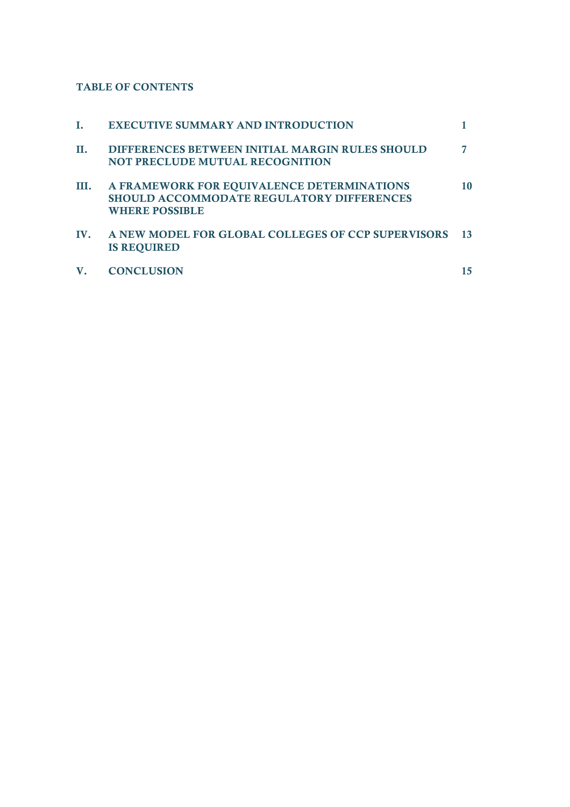## TABLE OF CONTENTS

|     | <b>EXECUTIVE SUMMARY AND INTRODUCTION</b>                                                                               |       |
|-----|-------------------------------------------------------------------------------------------------------------------------|-------|
| П.  | <b>DIFFERENCES BETWEEN INITIAL MARGIN RULES SHOULD</b><br><b>NOT PRECLUDE MUTUAL RECOGNITION</b>                        |       |
| Ш.  | A FRAMEWORK FOR EQUIVALENCE DETERMINATIONS<br><b>SHOULD ACCOMMODATE REGULATORY DIFFERENCES</b><br><b>WHERE POSSIBLE</b> | 10    |
| IV. | A NEW MODEL FOR GLOBAL COLLEGES OF CCP SUPERVISORS<br><b>IS REQUIRED</b>                                                | $-13$ |
|     | <b>CONCLUSION</b>                                                                                                       |       |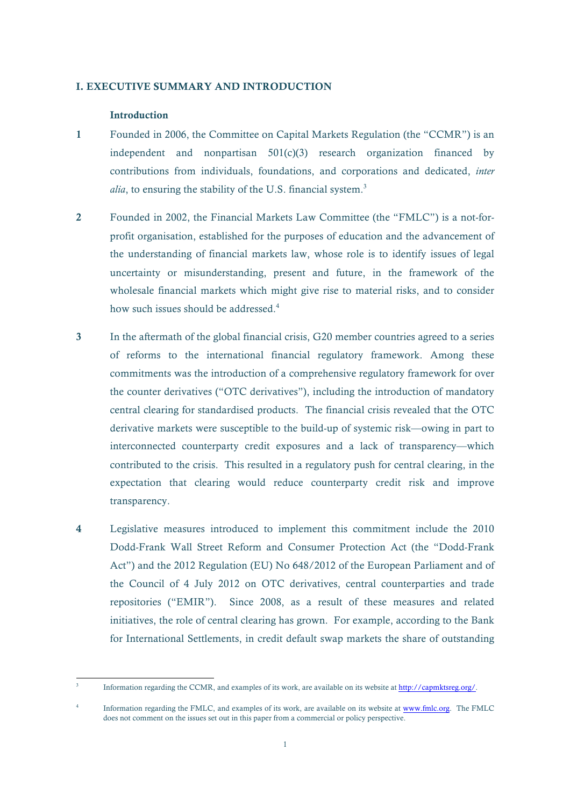#### I. EXECUTIVE SUMMARY AND INTRODUCTION

### **Introduction**

- 1 Founded in 2006, the Committee on Capital Markets Regulation (the "CCMR") is an independent and nonpartisan 501(c)(3) research organization financed by contributions from individuals, foundations, and corporations and dedicated, *inter alia*, to ensuring the stability of the U.S. financial system.<sup>3</sup>
- 2 Founded in 2002, the Financial Markets Law Committee (the "FMLC") is a not-forprofit organisation, established for the purposes of education and the advancement of the understanding of financial markets law, whose role is to identify issues of legal uncertainty or misunderstanding, present and future, in the framework of the wholesale financial markets which might give rise to material risks, and to consider how such issues should be addressed.<sup>4</sup>
- 3 In the aftermath of the global financial crisis, G20 member countries agreed to a series of reforms to the international financial regulatory framework. Among these commitments was the introduction of a comprehensive regulatory framework for over the counter derivatives ("OTC derivatives"), including the introduction of mandatory central clearing for standardised products. The financial crisis revealed that the OTC derivative markets were susceptible to the build-up of systemic risk—owing in part to interconnected counterparty credit exposures and a lack of transparency—which contributed to the crisis. This resulted in a regulatory push for central clearing, in the expectation that clearing would reduce counterparty credit risk and improve transparency.
- 4 Legislative measures introduced to implement this commitment include the 2010 Dodd-Frank Wall Street Reform and Consumer Protection Act (the "Dodd-Frank Act") and the 2012 Regulation (EU) No 648/2012 of the European Parliament and of the Council of 4 July 2012 on OTC derivatives, central counterparties and trade repositories ("EMIR"). Since 2008, as a result of these measures and related initiatives, the role of central clearing has grown. For example, according to the Bank for International Settlements, in credit default swap markets the share of outstanding

<sup>3</sup> Information regarding the CCMR, and examples of its work, are available on its website at http://capmktsreg.org/.

Information regarding the FMLC, and examples of its work, are available on its website at www.fmlc.org. The FMLC does not comment on the issues set out in this paper from a commercial or policy perspective.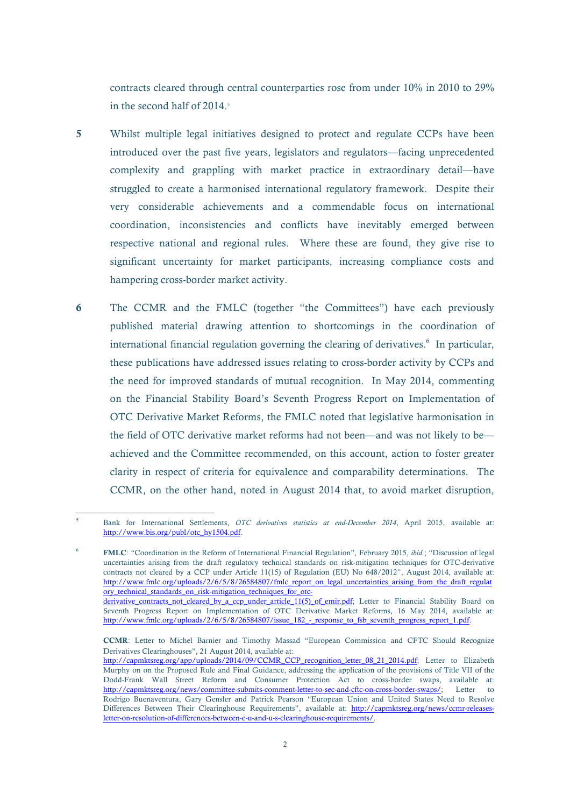contracts cleared through central counterparties rose from under 10% in 2010 to 29% in the second half of  $2014<sup>5</sup>$ 

- 5 Whilst multiple legal initiatives designed to protect and regulate CCPs have been introduced over the past five years, legislators and regulators—facing unprecedented complexity and grappling with market practice in extraordinary detail—have struggled to create a harmonised international regulatory framework. Despite their very considerable achievements and a commendable focus on international coordination, inconsistencies and conflicts have inevitably emerged between respective national and regional rules. Where these are found, they give rise to significant uncertainty for market participants, increasing compliance costs and hampering cross-border market activity.
- 6 The CCMR and the FMLC (together "the Committees") have each previously published material drawing attention to shortcomings in the coordination of international financial regulation governing the clearing of derivatives.<sup>6</sup> In particular, these publications have addressed issues relating to cross-border activity by CCPs and the need for improved standards of mutual recognition. In May 2014, commenting on the Financial Stability Board's Seventh Progress Report on Implementation of OTC Derivative Market Reforms, the FMLC noted that legislative harmonisation in the field of OTC derivative market reforms had not been—and was not likely to be achieved and the Committee recommended, on this account, action to foster greater clarity in respect of criteria for equivalence and comparability determinations. The CCMR, on the other hand, noted in August 2014 that, to avoid market disruption,

<sup>5</sup> Bank for International Settlements, *OTC derivatives statistics at end-December 2014*, April 2015, available at: http://www.bis.org/publ/otc\_hy1504.pdf.

<sup>6</sup> FMLC: "Coordination in the Reform of International Financial Regulation", February 2015, *ibid.*; "Discussion of legal uncertainties arising from the draft regulatory technical standards on risk-mitigation techniques for OTC-derivative contracts not cleared by a CCP under Article 11(15) of Regulation (EU) No 648/2012", August 2014, available at: http://www.fmlc.org/uploads/2/6/5/8/26584807/fmlc\_report\_on\_legal\_uncertainties\_arising\_from\_the\_draft\_regulat ory\_technical\_standards\_on\_risk-mitigation\_techniques\_for\_otc-

derivative\_contracts\_not\_cleared\_by\_a\_ccp\_under\_article\_11(5)\_of\_emir.pdf; Letter to Financial Stability Board on Seventh Progress Report on Implementation of OTC Derivative Market Reforms, 16 May 2014, available at: http://www.fmlc.org/uploads/2/6/5/8/26584807/issue\_182\_-\_response\_to\_fsb\_seventh\_progress\_report\_1.pdf.

CCMR: Letter to Michel Barnier and Timothy Massad "European Commission and CFTC Should Recognize Derivatives Clearinghouses", 21 August 2014, available at:

http://capmktsreg.org/app/uploads/2014/09/CCMR\_CCP\_recognition\_letter\_08\_21\_2014.pdf; Letter to Elizabeth Murphy on on the Proposed Rule and Final Guidance, addressing the application of the provisions of Title VII of the Dodd-Frank Wall Street Reform and Consumer Protection Act to cross-border swaps, available at: http://capmktsreg.org/news/committee-submits-comment-letter-to-sec-and-cftc-on-cross-border-swaps/; Letter to Rodrigo Buenaventura, Gary Gensler and Patrick Pearson "European Union and United States Need to Resolve Differences Between Their Clearinghouse Requirements", available at: http://capmktsreg.org/news/ccmr-releasesletter-on-resolution-of-differences-between-e-u-and-u-s-clearinghouse-requirements/.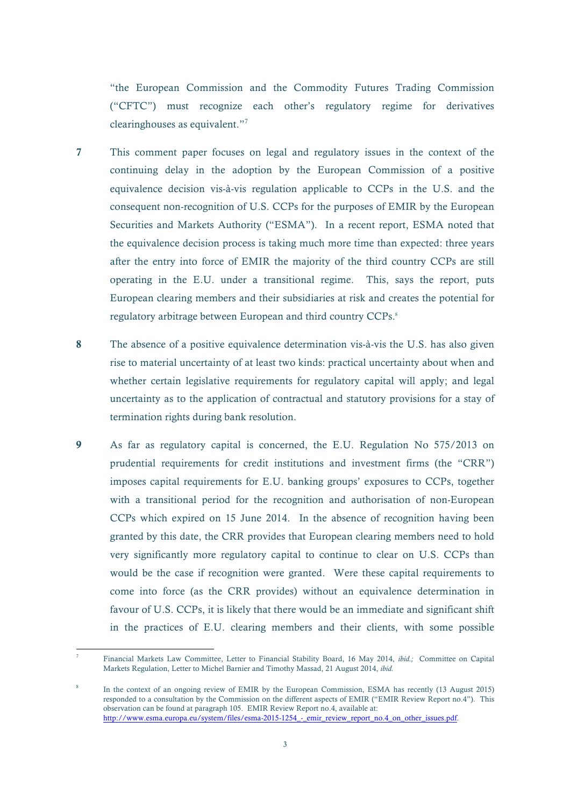"the European Commission and the Commodity Futures Trading Commission ("CFTC") must recognize each other's regulatory regime for derivatives clearinghouses as equivalent."<sup>7</sup>

- 7 This comment paper focuses on legal and regulatory issues in the context of the continuing delay in the adoption by the European Commission of a positive equivalence decision vis-à-vis regulation applicable to CCPs in the U.S. and the consequent non-recognition of U.S. CCPs for the purposes of EMIR by the European Securities and Markets Authority ("ESMA"). In a recent report, ESMA noted that the equivalence decision process is taking much more time than expected: three years after the entry into force of EMIR the majority of the third country CCPs are still operating in the E.U. under a transitional regime. This, says the report, puts European clearing members and their subsidiaries at risk and creates the potential for regulatory arbitrage between European and third country CCPs.<sup>8</sup>
- 8 The absence of a positive equivalence determination vis-à-vis the U.S. has also given rise to material uncertainty of at least two kinds: practical uncertainty about when and whether certain legislative requirements for regulatory capital will apply; and legal uncertainty as to the application of contractual and statutory provisions for a stay of termination rights during bank resolution.
- 9 As far as regulatory capital is concerned, the E.U. Regulation No 575/2013 on prudential requirements for credit institutions and investment firms (the "CRR") imposes capital requirements for E.U. banking groups' exposures to CCPs, together with a transitional period for the recognition and authorisation of non-European CCPs which expired on 15 June 2014. In the absence of recognition having been granted by this date, the CRR provides that European clearing members need to hold very significantly more regulatory capital to continue to clear on U.S. CCPs than would be the case if recognition were granted. Were these capital requirements to come into force (as the CRR provides) without an equivalence determination in favour of U.S. CCPs, it is likely that there would be an immediate and significant shift in the practices of E.U. clearing members and their clients, with some possible

 $\overline{a}$ 

<sup>7</sup> Financial Markets Law Committee, Letter to Financial Stability Board, 16 May 2014, *ibid.;* Committee on Capital Markets Regulation, Letter to Michel Barnier and Timothy Massad, 21 August 2014, *ibid.*

In the context of an ongoing review of EMIR by the European Commission, ESMA has recently (13 August 2015) responded to a consultation by the Commission on the different aspects of EMIR ("EMIR Review Report no.4"). This observation can be found at paragraph 105. EMIR Review Report no.4, available at: http://www.esma.europa.eu/system/files/esma-2015-1254 - emir\_review\_report\_no.4\_on\_other\_issues.pdf.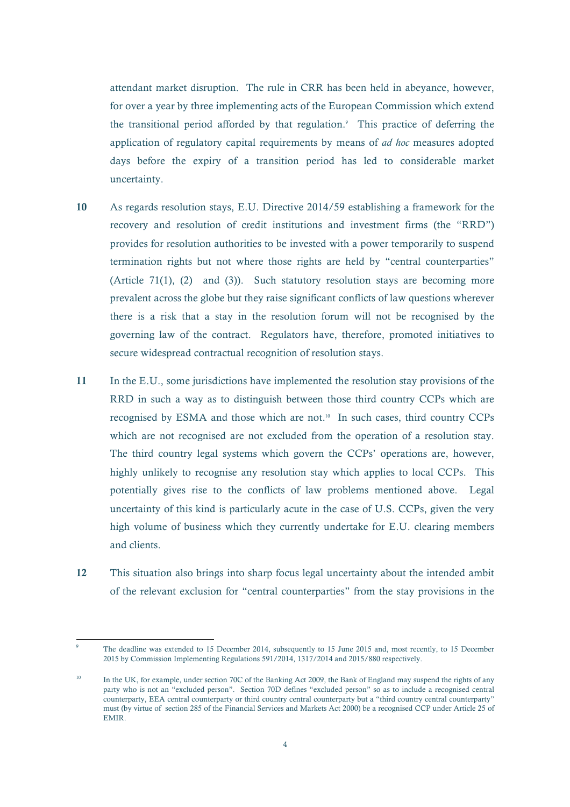attendant market disruption. The rule in CRR has been held in abeyance, however, for over a year by three implementing acts of the European Commission which extend the transitional period afforded by that regulation.<sup>9</sup> This practice of deferring the application of regulatory capital requirements by means of *ad hoc* measures adopted days before the expiry of a transition period has led to considerable market uncertainty.

- 10 As regards resolution stays, E.U. Directive 2014/59 establishing a framework for the recovery and resolution of credit institutions and investment firms (the "RRD") provides for resolution authorities to be invested with a power temporarily to suspend termination rights but not where those rights are held by "central counterparties" (Article 71(1), (2) and (3)). Such statutory resolution stays are becoming more prevalent across the globe but they raise significant conflicts of law questions wherever there is a risk that a stay in the resolution forum will not be recognised by the governing law of the contract. Regulators have, therefore, promoted initiatives to secure widespread contractual recognition of resolution stays.
- 11 In the E.U., some jurisdictions have implemented the resolution stay provisions of the RRD in such a way as to distinguish between those third country CCPs which are recognised by ESMA and those which are not. $10$  In such cases, third country CCPs which are not recognised are not excluded from the operation of a resolution stay. The third country legal systems which govern the CCPs' operations are, however, highly unlikely to recognise any resolution stay which applies to local CCPs. This potentially gives rise to the conflicts of law problems mentioned above. Legal uncertainty of this kind is particularly acute in the case of U.S. CCPs, given the very high volume of business which they currently undertake for E.U. clearing members and clients.
- 12 This situation also brings into sharp focus legal uncertainty about the intended ambit of the relevant exclusion for "central counterparties" from the stay provisions in the

<sup>9</sup> The deadline was extended to 15 December 2014, subsequently to 15 June 2015 and, most recently, to 15 December 2015 by Commission Implementing Regulations 591/2014, 1317/2014 and 2015/880 respectively.

In the UK, for example, under section 70C of the Banking Act 2009, the Bank of England may suspend the rights of any party who is not an "excluded person". Section 70D defines "excluded person" so as to include a recognised central counterparty, EEA central counterparty or third country central counterparty but a "third country central counterparty" must (by virtue of section 285 of the Financial Services and Markets Act 2000) be a recognised CCP under Article 25 of EMIR.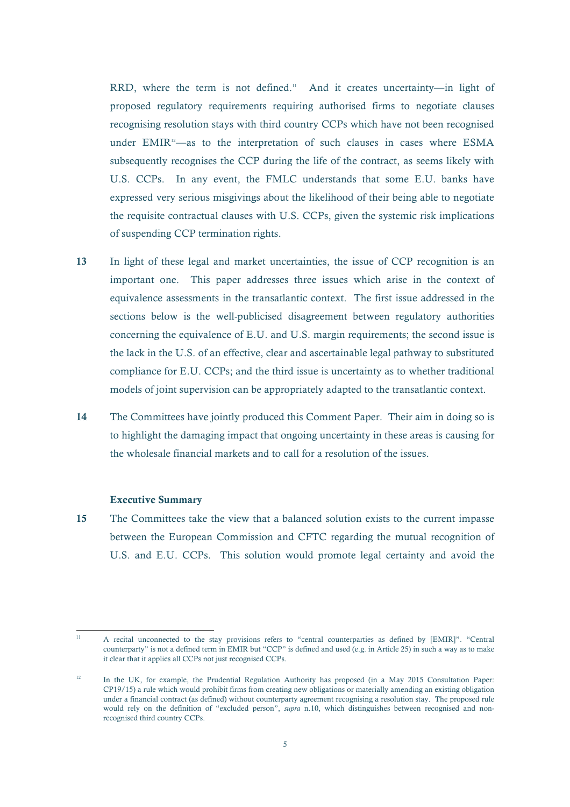RRD, where the term is not defined.<sup>11</sup> And it creates uncertainty—in light of proposed regulatory requirements requiring authorised firms to negotiate clauses recognising resolution stays with third country CCPs which have not been recognised under EMIR<sup>12</sup>—as to the interpretation of such clauses in cases where ESMA subsequently recognises the CCP during the life of the contract, as seems likely with U.S. CCPs. In any event, the FMLC understands that some E.U. banks have expressed very serious misgivings about the likelihood of their being able to negotiate the requisite contractual clauses with U.S. CCPs, given the systemic risk implications of suspending CCP termination rights.

- 13 In light of these legal and market uncertainties, the issue of CCP recognition is an important one. This paper addresses three issues which arise in the context of equivalence assessments in the transatlantic context. The first issue addressed in the sections below is the well-publicised disagreement between regulatory authorities concerning the equivalence of E.U. and U.S. margin requirements; the second issue is the lack in the U.S. of an effective, clear and ascertainable legal pathway to substituted compliance for E.U. CCPs; and the third issue is uncertainty as to whether traditional models of joint supervision can be appropriately adapted to the transatlantic context.
- 14 The Committees have jointly produced this Comment Paper. Their aim in doing so is to highlight the damaging impact that ongoing uncertainty in these areas is causing for the wholesale financial markets and to call for a resolution of the issues.

#### Executive Summary

15 The Committees take the view that a balanced solution exists to the current impasse between the European Commission and CFTC regarding the mutual recognition of U.S. and E.U. CCPs. This solution would promote legal certainty and avoid the

 $\overline{11}$ <sup>11</sup> A recital unconnected to the stay provisions refers to "central counterparties as defined by [EMIR]". "Central counterparty" is not a defined term in EMIR but "CCP" is defined and used (e.g. in Article 25) in such a way as to make it clear that it applies all CCPs not just recognised CCPs.

<sup>&</sup>lt;sup>12</sup> In the UK, for example, the Prudential Regulation Authority has proposed (in a May 2015 Consultation Paper: CP19/15) a rule which would prohibit firms from creating new obligations or materially amending an existing obligation under a financial contract (as defined) without counterparty agreement recognising a resolution stay. The proposed rule would rely on the definition of "excluded person", *supra* n.10, which distinguishes between recognised and nonrecognised third country CCPs.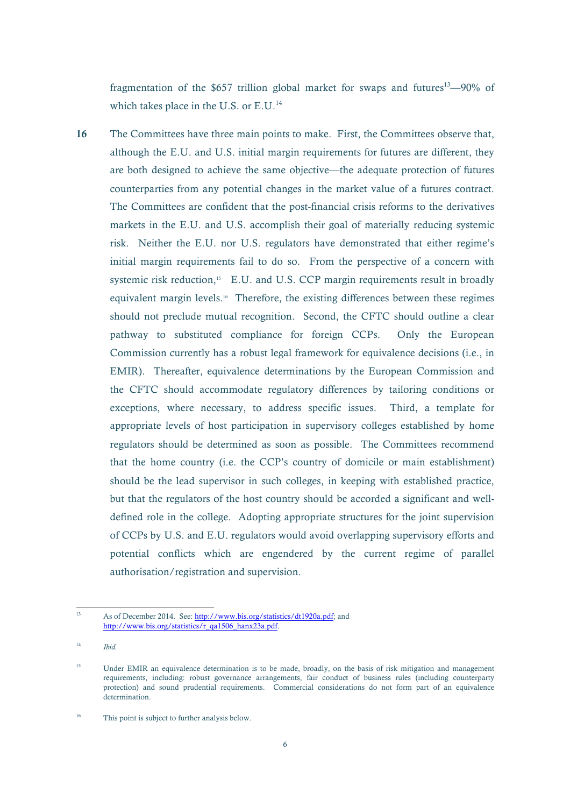fragmentation of the \$657 trillion global market for swaps and futures<sup>13</sup>—90% of which takes place in the U.S. or E.U.<sup>14</sup>

16 The Committees have three main points to make. First, the Committees observe that, although the E.U. and U.S. initial margin requirements for futures are different, they are both designed to achieve the same objective—the adequate protection of futures counterparties from any potential changes in the market value of a futures contract. The Committees are confident that the post-financial crisis reforms to the derivatives markets in the E.U. and U.S. accomplish their goal of materially reducing systemic risk. Neither the E.U. nor U.S. regulators have demonstrated that either regime's initial margin requirements fail to do so. From the perspective of a concern with systemic risk reduction, $15$  E.U. and U.S. CCP margin requirements result in broadly equivalent margin levels.16 Therefore, the existing differences between these regimes should not preclude mutual recognition. Second, the CFTC should outline a clear pathway to substituted compliance for foreign CCPs. Only the European Commission currently has a robust legal framework for equivalence decisions (i.e., in EMIR). Thereafter, equivalence determinations by the European Commission and the CFTC should accommodate regulatory differences by tailoring conditions or exceptions, where necessary, to address specific issues. Third, a template for appropriate levels of host participation in supervisory colleges established by home regulators should be determined as soon as possible. The Committees recommend that the home country (i.e. the CCP's country of domicile or main establishment) should be the lead supervisor in such colleges, in keeping with established practice, but that the regulators of the host country should be accorded a significant and welldefined role in the college. Adopting appropriate structures for the joint supervision of CCPs by U.S. and E.U. regulators would avoid overlapping supervisory efforts and potential conflicts which are engendered by the current regime of parallel authorisation/registration and supervision.

 $13<sup>°</sup>$ As of December 2014. See: http://www.bis.org/statistics/dt1920a.pdf; and http://www.bis.org/statistics/r\_qa1506\_hanx23a.pdf.

<sup>14</sup> *Ibid.*

<sup>&</sup>lt;sup>15</sup> Under EMIR an equivalence determination is to be made, broadly, on the basis of risk mitigation and management requirements, including: robust governance arrangements, fair conduct of business rules (including counterparty protection) and sound prudential requirements. Commercial considerations do not form part of an equivalence determination.

<sup>&</sup>lt;sup>16</sup> This point is subject to further analysis below.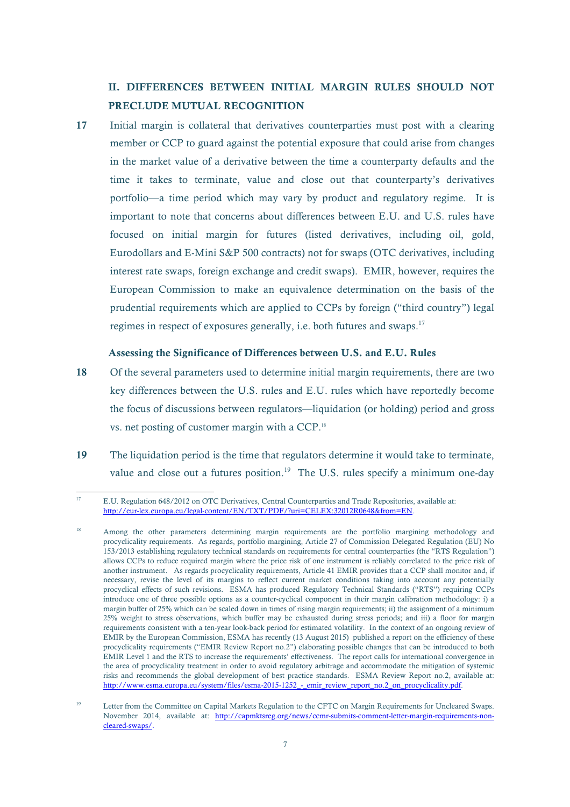# II. DIFFERENCES BETWEEN INITIAL MARGIN RULES SHOULD NOT PRECLUDE MUTUAL RECOGNITION

17 Initial margin is collateral that derivatives counterparties must post with a clearing member or CCP to guard against the potential exposure that could arise from changes in the market value of a derivative between the time a counterparty defaults and the time it takes to terminate, value and close out that counterparty's derivatives portfolio—a time period which may vary by product and regulatory regime. It is important to note that concerns about differences between E.U. and U.S. rules have focused on initial margin for futures (listed derivatives, including oil, gold, Eurodollars and E-Mini S&P 500 contracts) not for swaps (OTC derivatives, including interest rate swaps, foreign exchange and credit swaps). EMIR, however, requires the European Commission to make an equivalence determination on the basis of the prudential requirements which are applied to CCPs by foreign ("third country") legal regimes in respect of exposures generally, i.e. both futures and swaps.<sup>17</sup>

### Assessing the Significance of Differences between U.S. and E.U. Rules

- 18 Of the several parameters used to determine initial margin requirements, there are two key differences between the U.S. rules and E.U. rules which have reportedly become the focus of discussions between regulators—liquidation (or holding) period and gross vs. net posting of customer margin with a CCP.18
- 19 The liquidation period is the time that regulators determine it would take to terminate, value and close out a futures position.<sup>19</sup> The U.S. rules specify a minimum one-day

 $17$ <sup>17</sup> E.U. Regulation 648/2012 on OTC Derivatives, Central Counterparties and Trade Repositories, available at: http://eur-lex.europa.eu/legal-content/EN/TXT/PDF/?uri=CELEX:32012R0648&from=EN.

<sup>&</sup>lt;sup>18</sup> Among the other parameters determining margin requirements are the portfolio margining methodology and procyclicality requirements. As regards, portfolio margining, Article 27 of Commission Delegated Regulation (EU) No 153/2013 establishing regulatory technical standards on requirements for central counterparties (the "RTS Regulation") allows CCPs to reduce required margin where the price risk of one instrument is reliably correlated to the price risk of another instrument. As regards procyclicality requirements, Article 41 EMIR provides that a CCP shall monitor and, if necessary, revise the level of its margins to reflect current market conditions taking into account any potentially procyclical effects of such revisions. ESMA has produced Regulatory Technical Standards ("RTS") requiring CCPs introduce one of three possible options as a counter-cyclical component in their margin calibration methodology: i) a margin buffer of 25% which can be scaled down in times of rising margin requirements; ii) the assignment of a minimum 25% weight to stress observations, which buffer may be exhausted during stress periods; and iii) a floor for margin requirements consistent with a ten-year look-back period for estimated volatility. In the context of an ongoing review of EMIR by the European Commission, ESMA has recently (13 August 2015) published a report on the efficiency of these procyclicality requirements ("EMIR Review Report no.2") elaborating possible changes that can be introduced to both EMIR Level 1 and the RTS to increase the requirements' effectiveness. The report calls for international convergence in the area of procyclicality treatment in order to avoid regulatory arbitrage and accommodate the mitigation of systemic risks and recommends the global development of best practice standards. ESMA Review Report no.2, available at: http://www.esma.europa.eu/system/files/esma-2015-1252\_-\_emir\_review\_report\_no.2\_on\_procyclicality.pdf.

<sup>&</sup>lt;sup>19</sup> Letter from the Committee on Capital Markets Regulation to the CFTC on Margin Requirements for Uncleared Swaps. November 2014, available at: http://capmktsreg.org/news/ccmr-submits-comment-letter-margin-requirements-noncleared-swaps/.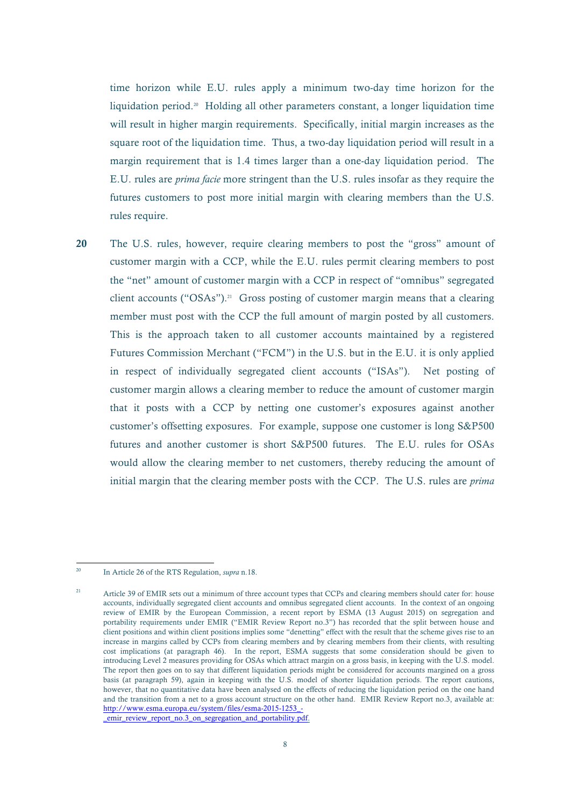time horizon while E.U. rules apply a minimum two-day time horizon for the liquidation period. 20 Holding all other parameters constant, a longer liquidation time will result in higher margin requirements. Specifically, initial margin increases as the square root of the liquidation time. Thus, a two-day liquidation period will result in a margin requirement that is 1.4 times larger than a one-day liquidation period. The E.U. rules are *prima facie* more stringent than the U.S. rules insofar as they require the futures customers to post more initial margin with clearing members than the U.S. rules require.

20 The U.S. rules, however, require clearing members to post the "gross" amount of customer margin with a CCP, while the E.U. rules permit clearing members to post the "net" amount of customer margin with a CCP in respect of "omnibus" segregated client accounts ("OSAs"). 21 Gross posting of customer margin means that a clearing member must post with the CCP the full amount of margin posted by all customers. This is the approach taken to all customer accounts maintained by a registered Futures Commission Merchant ("FCM") in the U.S. but in the E.U. it is only applied in respect of individually segregated client accounts ("ISAs"). Net posting of customer margin allows a clearing member to reduce the amount of customer margin that it posts with a CCP by netting one customer's exposures against another customer's offsetting exposures. For example, suppose one customer is long S&P500 futures and another customer is short S&P500 futures. The E.U. rules for OSAs would allow the clearing member to net customers, thereby reducing the amount of initial margin that the clearing member posts with the CCP. The U.S. rules are *prima* 

 $\overline{20}$ <sup>20</sup> In Article 26 of the RTS Regulation, *supra* n.18.

<sup>&</sup>lt;sup>21</sup> Article 39 of EMIR sets out a minimum of three account types that CCPs and clearing members should cater for: house accounts, individually segregated client accounts and omnibus segregated client accounts. In the context of an ongoing review of EMIR by the European Commission, a recent report by ESMA (13 August 2015) on segregation and portability requirements under EMIR ("EMIR Review Report no.3") has recorded that the split between house and client positions and within client positions implies some "denetting" effect with the result that the scheme gives rise to an increase in margins called by CCPs from clearing members and by clearing members from their clients, with resulting cost implications (at paragraph 46). In the report, ESMA suggests that some consideration should be given to introducing Level 2 measures providing for OSAs which attract margin on a gross basis, in keeping with the U.S. model. The report then goes on to say that different liquidation periods might be considered for accounts margined on a gross basis (at paragraph 59), again in keeping with the U.S. model of shorter liquidation periods. The report cautions, however, that no quantitative data have been analysed on the effects of reducing the liquidation period on the one hand and the transition from a net to a gross account structure on the other hand. EMIR Review Report no.3, available at: http://www.esma.europa.eu/system/files/esma-2015-1253\_- \_emir\_review\_report\_no.3\_on\_segregation\_and\_portability.pdf.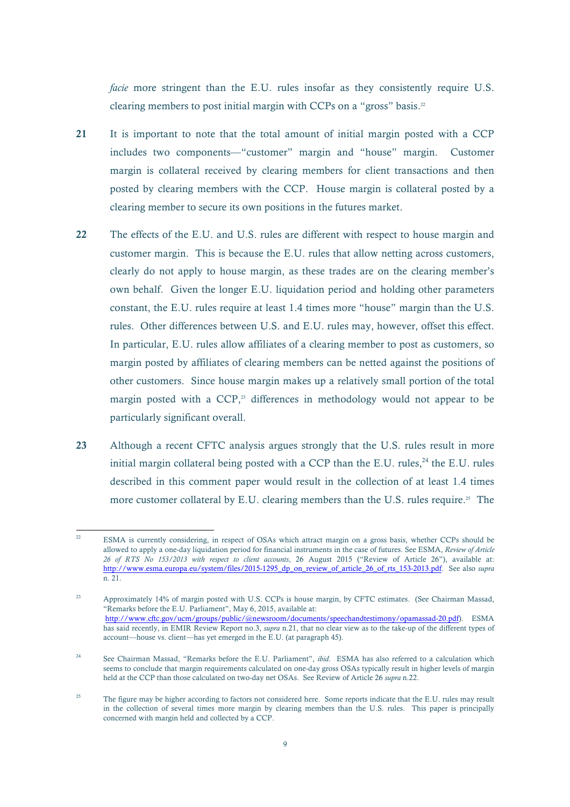*facie* more stringent than the E.U. rules insofar as they consistently require U.S. clearing members to post initial margin with CCPs on a "gross" basis.<sup>22</sup>

- 21 It is important to note that the total amount of initial margin posted with a CCP includes two components—"customer" margin and "house" margin. Customer margin is collateral received by clearing members for client transactions and then posted by clearing members with the CCP. House margin is collateral posted by a clearing member to secure its own positions in the futures market.
- 22 The effects of the E.U. and U.S. rules are different with respect to house margin and customer margin. This is because the E.U. rules that allow netting across customers, clearly do not apply to house margin, as these trades are on the clearing member's own behalf. Given the longer E.U. liquidation period and holding other parameters constant, the E.U. rules require at least 1.4 times more "house" margin than the U.S. rules. Other differences between U.S. and E.U. rules may, however, offset this effect. In particular, E.U. rules allow affiliates of a clearing member to post as customers, so margin posted by affiliates of clearing members can be netted against the positions of other customers. Since house margin makes up a relatively small portion of the total margin posted with a CCP,<sup>23</sup> differences in methodology would not appear to be particularly significant overall.
- 23 Although a recent CFTC analysis argues strongly that the U.S. rules result in more initial margin collateral being posted with a CCP than the E.U. rules, $^{24}$  the E.U. rules described in this comment paper would result in the collection of at least 1.4 times more customer collateral by E.U. clearing members than the U.S. rules require.<sup>25</sup> The

 $22$ <sup>22</sup> ESMA is currently considering, in respect of OSAs which attract margin on a gross basis, whether CCPs should be allowed to apply a one-day liquidation period for financial instruments in the case of futures. See ESMA, *Review of Article 26 of RTS No 153/2013 with respect to client accounts*, 26 August 2015 ("Review of Article 26"), available at: http://www.esma.europa.eu/system/files/2015-1295\_dp\_on\_review\_of\_article\_26\_of\_rts\_153-2013.pdf. See also *supra* n. 21.

<sup>&</sup>lt;sup>23</sup> Approximately 14% of margin posted with U.S. CCPs is house margin, by CFTC estimates. (See Chairman Massad, "Remarks before the E.U. Parliament", May 6, 2015, available at: http://www.cftc.gov/ucm/groups/public/@newsroom/documents/speechandtestimony/opamassad-20.pdf).ESMA has said recently, in EMIR Review Report no.3, *supra* n.21, that no clear view as to the take-up of the different types of account—house vs. client—has yet emerged in the E.U. (at paragraph 45).

<sup>24</sup> See Chairman Massad, "Remarks before the E.U. Parliament", *ibid*. ESMA has also referred to a calculation which seems to conclude that margin requirements calculated on one-day gross OSAs typically result in higher levels of margin held at the CCP than those calculated on two-day net OSAs. See Review of Article 26 *supra* n.22.

<sup>&</sup>lt;sup>25</sup> The figure may be higher according to factors not considered here. Some reports indicate that the E.U. rules may result in the collection of several times more margin by clearing members than the U.S. rules. This paper is principally concerned with margin held and collected by a CCP.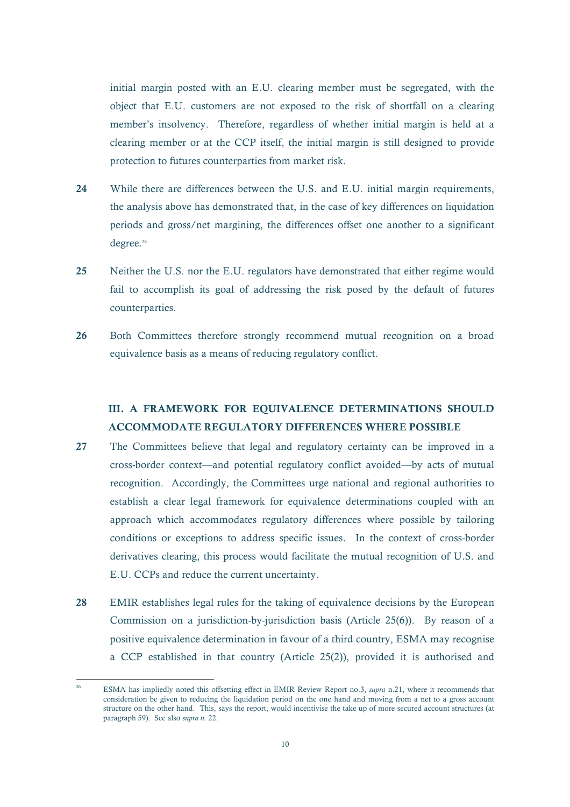initial margin posted with an E.U. clearing member must be segregated, with the object that E.U. customers are not exposed to the risk of shortfall on a clearing member's insolvency. Therefore, regardless of whether initial margin is held at a clearing member or at the CCP itself, the initial margin is still designed to provide protection to futures counterparties from market risk.

- 24 While there are differences between the U.S. and E.U. initial margin requirements, the analysis above has demonstrated that, in the case of key differences on liquidation periods and gross/net margining, the differences offset one another to a significant degree. 26
- 25 Neither the U.S. nor the E.U. regulators have demonstrated that either regime would fail to accomplish its goal of addressing the risk posed by the default of futures counterparties.
- 26 Both Committees therefore strongly recommend mutual recognition on a broad equivalence basis as a means of reducing regulatory conflict.

# III. A FRAMEWORK FOR EQUIVALENCE DETERMINATIONS SHOULD ACCOMMODATE REGULATORY DIFFERENCES WHERE POSSIBLE

- 27 The Committees believe that legal and regulatory certainty can be improved in a cross-border context—and potential regulatory conflict avoided—by acts of mutual recognition. Accordingly, the Committees urge national and regional authorities to establish a clear legal framework for equivalence determinations coupled with an approach which accommodates regulatory differences where possible by tailoring conditions or exceptions to address specific issues. In the context of cross-border derivatives clearing, this process would facilitate the mutual recognition of U.S. and E.U. CCPs and reduce the current uncertainty.
- 28 EMIR establishes legal rules for the taking of equivalence decisions by the European Commission on a jurisdiction-by-jurisdiction basis (Article 25(6)). By reason of a positive equivalence determination in favour of a third country, ESMA may recognise a CCP established in that country (Article 25(2)), provided it is authorised and

<sup>26</sup> ESMA has impliedly noted this offsetting effect in EMIR Review Report no.3, *supra* n.21, where it recommends that consideration be given to reducing the liquidation period on the one hand and moving from a net to a gross account structure on the other hand. This, says the report, would incentivise the take up of more secured account structures (at paragraph 59). See also *supra n.* 22.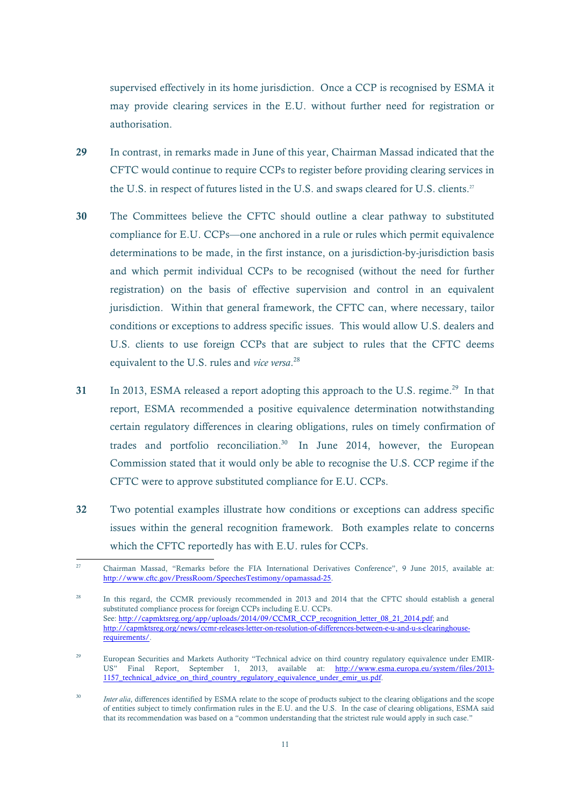supervised effectively in its home jurisdiction. Once a CCP is recognised by ESMA it may provide clearing services in the E.U. without further need for registration or authorisation.

- 29 In contrast, in remarks made in June of this year, Chairman Massad indicated that the CFTC would continue to require CCPs to register before providing clearing services in the U.S. in respect of futures listed in the U.S. and swaps cleared for U.S. clients.<sup>27</sup>
- 30 The Committees believe the CFTC should outline a clear pathway to substituted compliance for E.U. CCPs—one anchored in a rule or rules which permit equivalence determinations to be made, in the first instance, on a jurisdiction-by-jurisdiction basis and which permit individual CCPs to be recognised (without the need for further registration) on the basis of effective supervision and control in an equivalent jurisdiction. Within that general framework, the CFTC can, where necessary, tailor conditions or exceptions to address specific issues. This would allow U.S. dealers and U.S. clients to use foreign CCPs that are subject to rules that the CFTC deems equivalent to the U.S. rules and *vice versa*. 28
- 31 In 2013, ESMA released a report adopting this approach to the U.S. regime.<sup>29</sup> In that report, ESMA recommended a positive equivalence determination notwithstanding certain regulatory differences in clearing obligations, rules on timely confirmation of trades and portfolio reconciliation.<sup>30</sup> In June 2014, however, the European Commission stated that it would only be able to recognise the U.S. CCP regime if the CFTC were to approve substituted compliance for E.U. CCPs.
- 32 Two potential examples illustrate how conditions or exceptions can address specific issues within the general recognition framework. Both examples relate to concerns which the CFTC reportedly has with E.U. rules for CCPs.

 $\overline{27}$ <sup>27</sup> Chairman Massad, "Remarks before the FIA International Derivatives Conference", 9 June 2015, available at: http://www.cftc.gov/PressRoom/SpeechesTestimony/opamassad-25.

<sup>28</sup> In this regard, the CCMR previously recommended in 2013 and 2014 that the CFTC should establish a general substituted compliance process for foreign CCPs including E.U. CCPs. See: http://capmktsreg.org/app/uploads/2014/09/CCMR\_CCP\_recognition\_letter\_08\_21\_2014.pdf; and http://capmktsreg.org/news/ccmr-releases-letter-on-resolution-of-differences-between-e-u-and-u-s-clearinghouserequirements/.

<sup>&</sup>lt;sup>29</sup> European Securities and Markets Authority "Technical advice on third country regulatory equivalence under EMIR-US" Final Report, September 1, 2013, available at: http://www.esma.europa.eu/system/files/2013- 1157 technical advice on third country regulatory equivalence under emir us.pdf.

<sup>&</sup>lt;sup>30</sup> *Inter alia*, differences identified by ESMA relate to the scope of products subject to the clearing obligations and the scope of entities subject to timely confirmation rules in the E.U. and the U.S. In the case of clearing obligations, ESMA said that its recommendation was based on a "common understanding that the strictest rule would apply in such case."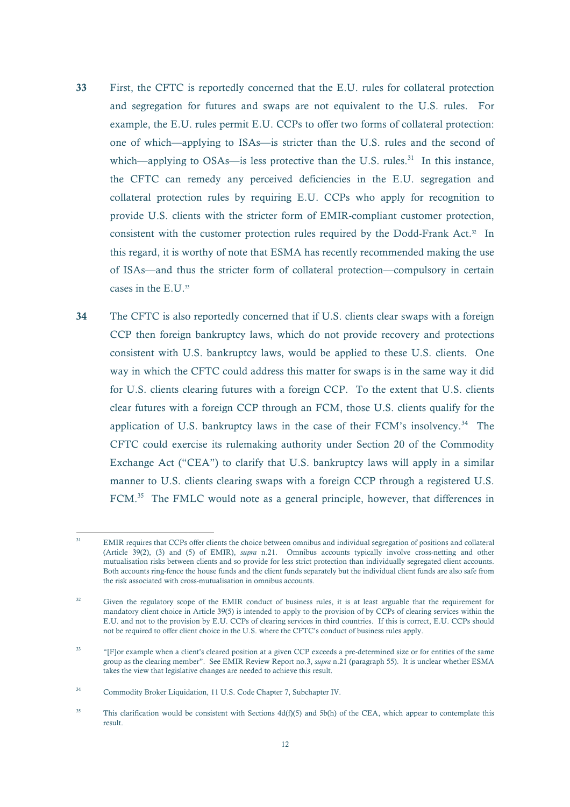- 33 First, the CFTC is reportedly concerned that the E.U. rules for collateral protection and segregation for futures and swaps are not equivalent to the U.S. rules. For example, the E.U. rules permit E.U. CCPs to offer two forms of collateral protection: one of which—applying to ISAs—is stricter than the U.S. rules and the second of which—applying to OSAs—is less protective than the U.S. rules.<sup>31</sup> In this instance, the CFTC can remedy any perceived deficiencies in the E.U. segregation and collateral protection rules by requiring E.U. CCPs who apply for recognition to provide U.S. clients with the stricter form of EMIR-compliant customer protection, consistent with the customer protection rules required by the Dodd-Frank Act. 32 In this regard, it is worthy of note that ESMA has recently recommended making the use of ISAs—and thus the stricter form of collateral protection—compulsory in certain cases in the E.U. 33
- 34 The CFTC is also reportedly concerned that if U.S. clients clear swaps with a foreign CCP then foreign bankruptcy laws, which do not provide recovery and protections consistent with U.S. bankruptcy laws, would be applied to these U.S. clients. One way in which the CFTC could address this matter for swaps is in the same way it did for U.S. clients clearing futures with a foreign CCP. To the extent that U.S. clients clear futures with a foreign CCP through an FCM, those U.S. clients qualify for the application of U.S. bankruptcy laws in the case of their FCM's insolvency.<sup>34</sup> The CFTC could exercise its rulemaking authority under Section 20 of the Commodity Exchange Act ("CEA") to clarify that U.S. bankruptcy laws will apply in a similar manner to U.S. clients clearing swaps with a foreign CCP through a registered U.S. FCM.<sup>35</sup> The FMLC would note as a general principle, however, that differences in

 $\overline{31}$ <sup>31</sup> EMIR requires that CCPs offer clients the choice between omnibus and individual segregation of positions and collateral (Article 39(2), (3) and (5) of EMIR), *supra* n.21. Omnibus accounts typically involve cross-netting and other mutualisation risks between clients and so provide for less strict protection than individually segregated client accounts. Both accounts ring-fence the house funds and the client funds separately but the individual client funds are also safe from the risk associated with cross-mutualisation in omnibus accounts.

<sup>&</sup>lt;sup>32</sup> Given the regulatory scope of the EMIR conduct of business rules, it is at least arguable that the requirement for mandatory client choice in Article 39(5) is intended to apply to the provision of by CCPs of clearing services within the E.U. and not to the provision by E.U. CCPs of clearing services in third countries. If this is correct, E.U. CCPs should not be required to offer client choice in the U.S. where the CFTC's conduct of business rules apply.

<sup>&</sup>lt;sup>33</sup> "[F]or example when a client's cleared position at a given CCP exceeds a pre-determined size or for entities of the same group as the clearing member". See EMIR Review Report no.3, *supra* n.21 (paragraph 55). It is unclear whether ESMA takes the view that legislative changes are needed to achieve this result.

<sup>34</sup> Commodity Broker Liquidation, 11 U.S. Code Chapter 7, Subchapter IV.

<sup>&</sup>lt;sup>35</sup> This clarification would be consistent with Sections  $4d(f)(5)$  and  $5b(h)$  of the CEA, which appear to contemplate this result.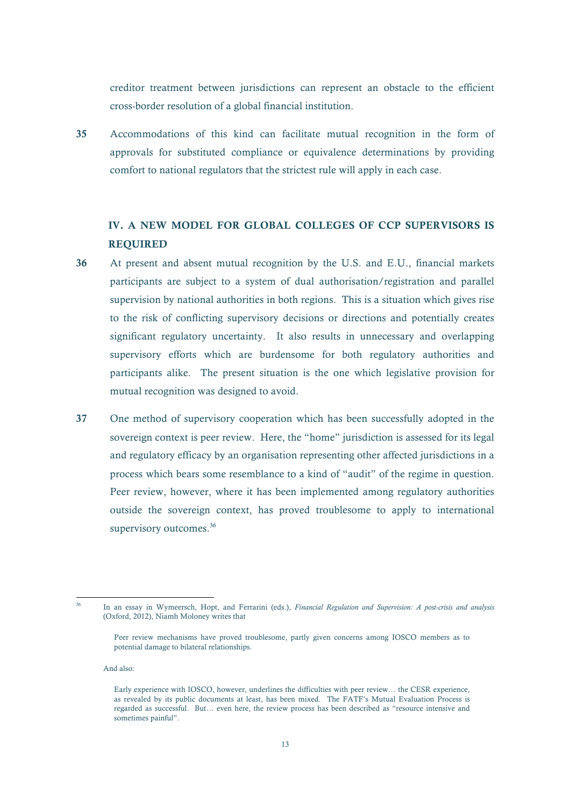creditor treatment between jurisdictions can represent an obstacle to the efficient cross-border resolution of a global financial institution.

35 Accommodations of this kind can facilitate mutual recognition in the form of approvals for substituted compliance or equivalence determinations by providing comfort to national regulators that the strictest rule will apply in each case.

# IV. A NEW MODEL FOR GLOBAL COLLEGES OF CCP SUPERVISORS IS REQUIRED

- 36 At present and absent mutual recognition by the U.S. and E.U., financial markets participants are subject to a system of dual authorisation/registration and parallel supervision by national authorities in both regions. This is a situation which gives rise to the risk of conflicting supervisory decisions or directions and potentially creates significant regulatory uncertainty. It also results in unnecessary and overlapping supervisory efforts which are burdensome for both regulatory authorities and participants alike. The present situation is the one which legislative provision for mutual recognition was designed to avoid.
- 37 One method of supervisory cooperation which has been successfully adopted in the sovereign context is peer review. Here, the "home" jurisdiction is assessed for its legal and regulatory efficacy by an organisation representing other affected jurisdictions in a process which bears some resemblance to a kind of "audit" of the regime in question. Peer review, however, where it has been implemented among regulatory authorities outside the sovereign context, has proved troublesome to apply to international supervisory outcomes.<sup>36</sup>

And also:

 $36$ 

<sup>36</sup> In an essay in Wymeersch, Hopt, and Ferrarini (eds.), *Financial Regulation and Supervision: A post-crisis and analysis* (Oxford, 2012), Niamh Moloney writes that

Peer review mechanisms have proved troublesome, partly given concerns among IOSCO members as to potential damage to bilateral relationships.

Early experience with IOSCO, however, underlines the difficulties with peer review… the CESR experience, as revealed by its public documents at least, has been mixed. The FATF's Mutual Evaluation Process is regarded as successful. But… even here, the review process has been described as "resource intensive and sometimes painful".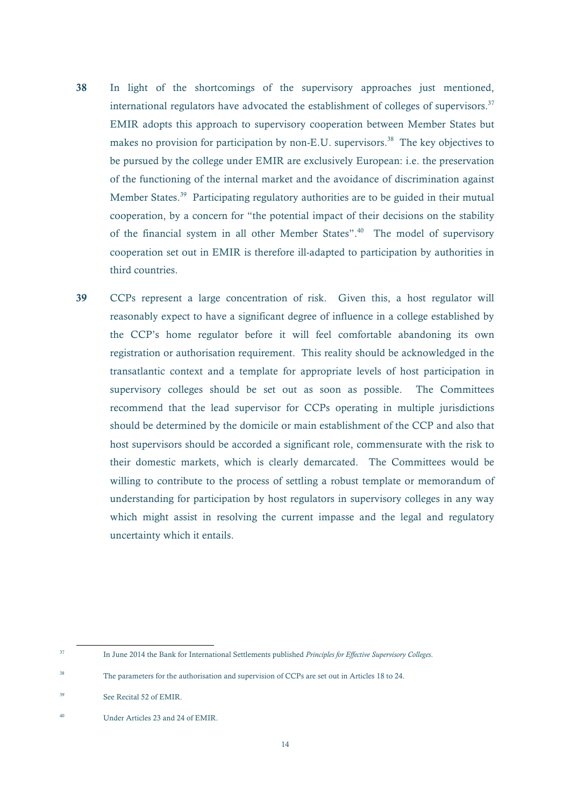- 38 In light of the shortcomings of the supervisory approaches just mentioned, international regulators have advocated the establishment of colleges of supervisors. $37$ EMIR adopts this approach to supervisory cooperation between Member States but makes no provision for participation by non-E.U. supervisors.<sup>38</sup> The key objectives to be pursued by the college under EMIR are exclusively European: i.e. the preservation of the functioning of the internal market and the avoidance of discrimination against Member States.<sup>39</sup> Participating regulatory authorities are to be guided in their mutual cooperation, by a concern for "the potential impact of their decisions on the stability of the financial system in all other Member States".40 The model of supervisory cooperation set out in EMIR is therefore ill-adapted to participation by authorities in third countries.
- 39 CCPs represent a large concentration of risk. Given this, a host regulator will reasonably expect to have a significant degree of influence in a college established by the CCP's home regulator before it will feel comfortable abandoning its own registration or authorisation requirement. This reality should be acknowledged in the transatlantic context and a template for appropriate levels of host participation in supervisory colleges should be set out as soon as possible. The Committees recommend that the lead supervisor for CCPs operating in multiple jurisdictions should be determined by the domicile or main establishment of the CCP and also that host supervisors should be accorded a significant role, commensurate with the risk to their domestic markets, which is clearly demarcated. The Committees would be willing to contribute to the process of settling a robust template or memorandum of understanding for participation by host regulators in supervisory colleges in any way which might assist in resolving the current impasse and the legal and regulatory uncertainty which it entails.

<sup>37</sup> In June 2014 the Bank for International Settlements published *Principles for Effective Supervisory Colleges*.

<sup>&</sup>lt;sup>38</sup> The parameters for the authorisation and supervision of CCPs are set out in Articles 18 to 24.

<sup>39</sup> See Recital 52 of EMIR.

<sup>40</sup> Under Articles 23 and 24 of EMIR.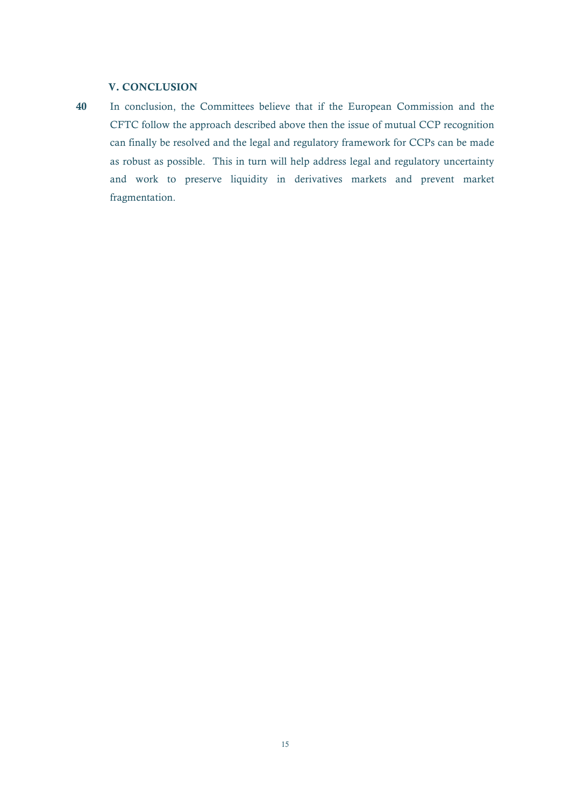### V. CONCLUSION

40 In conclusion, the Committees believe that if the European Commission and the CFTC follow the approach described above then the issue of mutual CCP recognition can finally be resolved and the legal and regulatory framework for CCPs can be made as robust as possible. This in turn will help address legal and regulatory uncertainty and work to preserve liquidity in derivatives markets and prevent market fragmentation.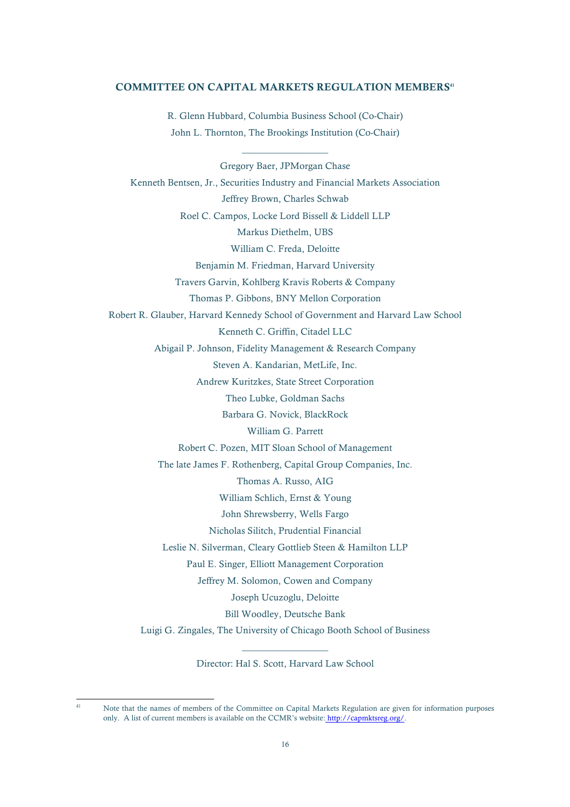#### COMMITTEE ON CAPITAL MARKETS REGULATION MEMBERS41

R. Glenn Hubbard, Columbia Business School (Co-Chair) John L. Thornton, The Brookings Institution (Co-Chair)

\_\_\_\_\_\_\_\_\_\_\_\_\_\_\_\_\_\_

Gregory Baer, JPMorgan Chase Kenneth Bentsen, Jr., Securities Industry and Financial Markets Association Jeffrey Brown, Charles Schwab Roel C. Campos, Locke Lord Bissell & Liddell LLP Markus Diethelm, UBS William C. Freda, Deloitte Benjamin M. Friedman, Harvard University Travers Garvin, Kohlberg Kravis Roberts & Company Thomas P. Gibbons, BNY Mellon Corporation Robert R. Glauber, Harvard Kennedy School of Government and Harvard Law School Kenneth C. Griffin, Citadel LLC Abigail P. Johnson, Fidelity Management & Research Company Steven A. Kandarian, MetLife, Inc. Andrew Kuritzkes, State Street Corporation Theo Lubke, Goldman Sachs Barbara G. Novick, BlackRock William G. Parrett Robert C. Pozen, MIT Sloan School of Management The late James F. Rothenberg, Capital Group Companies, Inc. Thomas A. Russo, AIG William Schlich, Ernst & Young John Shrewsberry, Wells Fargo Nicholas Silitch, Prudential Financial Leslie N. Silverman, Cleary Gottlieb Steen & Hamilton LLP Paul E. Singer, Elliott Management Corporation Jeffrey M. Solomon, Cowen and Company Joseph Ucuzoglu, Deloitte Bill Woodley, Deutsche Bank Luigi G. Zingales, The University of Chicago Booth School of Business

> $\overline{\phantom{a}}$  , where  $\overline{\phantom{a}}$ Director: Hal S. Scott, Harvard Law School

 $\overline{a}$ 

Note that the names of members of the Committee on Capital Markets Regulation are given for information purposes only. A list of current members is available on the CCMR's website: http://capmktsreg.org/.